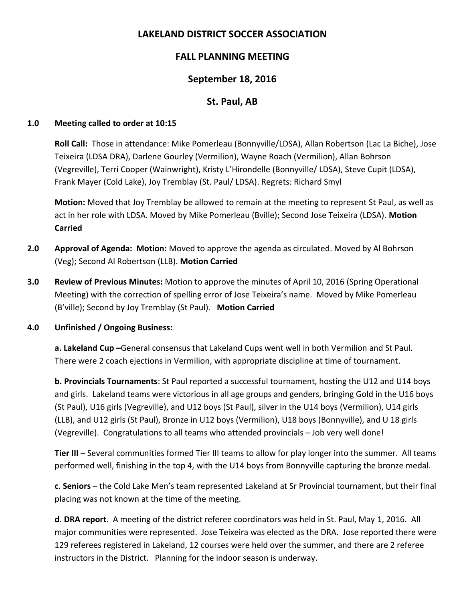# **LAKELAND DISTRICT SOCCER ASSOCIATION**

## **FALL PLANNING MEETING**

# **September 18, 2016**

## **St. Paul, AB**

### **1.0 Meeting called to order at 10:15**

**Roll Call:** Those in attendance: Mike Pomerleau (Bonnyville/LDSA), Allan Robertson (Lac La Biche), Jose Teixeira (LDSA DRA), Darlene Gourley (Vermilion), Wayne Roach (Vermilion), Allan Bohrson (Vegreville), Terri Cooper (Wainwright), Kristy L'Hirondelle (Bonnyville/ LDSA), Steve Cupit (LDSA), Frank Mayer (Cold Lake), Joy Tremblay (St. Paul/ LDSA). Regrets: Richard Smyl

**Motion:** Moved that Joy Tremblay be allowed to remain at the meeting to represent St Paul, as well as act in her role with LDSA. Moved by Mike Pomerleau (Bville); Second Jose Teixeira (LDSA). **Motion Carried**

- **2.0 Approval of Agenda: Motion:** Moved to approve the agenda as circulated. Moved by Al Bohrson (Veg); Second Al Robertson (LLB). **Motion Carried**
- **3.0 Review of Previous Minutes:** Motion to approve the minutes of April 10, 2016 (Spring Operational Meeting) with the correction of spelling error of Jose Teixeira's name. Moved by Mike Pomerleau (B'ville); Second by Joy Tremblay (St Paul). **Motion Carried**

### **4.0 Unfinished / Ongoing Business:**

**a. Lakeland Cup –**General consensus that Lakeland Cups went well in both Vermilion and St Paul. There were 2 coach ejections in Vermilion, with appropriate discipline at time of tournament.

**b. Provincials Tournaments**: St Paul reported a successful tournament, hosting the U12 and U14 boys and girls. Lakeland teams were victorious in all age groups and genders, bringing Gold in the U16 boys (St Paul), U16 girls (Vegreville), and U12 boys (St Paul), silver in the U14 boys (Vermilion), U14 girls (LLB), and U12 girls (St Paul), Bronze in U12 boys (Vermilion), U18 boys (Bonnyville), and U 18 girls (Vegreville). Congratulations to all teams who attended provincials – Job very well done!

**Tier III** – Several communities formed Tier III teams to allow for play longer into the summer. All teams performed well, finishing in the top 4, with the U14 boys from Bonnyville capturing the bronze medal.

**c**. **Seniors** – the Cold Lake Men's team represented Lakeland at Sr Provincial tournament, but their final placing was not known at the time of the meeting.

**d**. **DRA report**. A meeting of the district referee coordinators was held in St. Paul, May 1, 2016. All major communities were represented. Jose Teixeira was elected as the DRA. Jose reported there were 129 referees registered in Lakeland, 12 courses were held over the summer, and there are 2 referee instructors in the District. Planning for the indoor season is underway.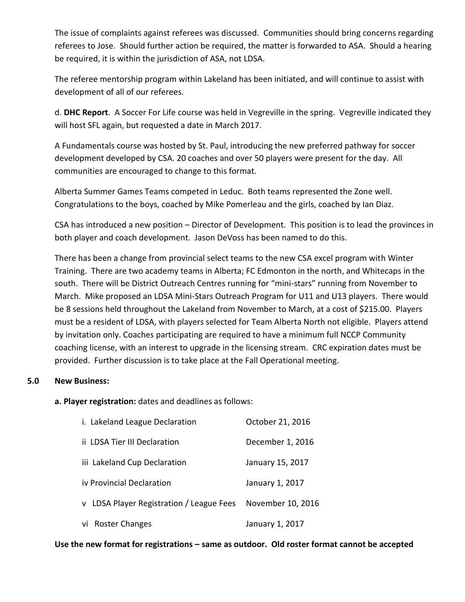The issue of complaints against referees was discussed. Communities should bring concerns regarding referees to Jose. Should further action be required, the matter is forwarded to ASA. Should a hearing be required, it is within the jurisdiction of ASA, not LDSA.

The referee mentorship program within Lakeland has been initiated, and will continue to assist with development of all of our referees.

d. **DHC Report**. A Soccer For Life course was held in Vegreville in the spring. Vegreville indicated they will host SFL again, but requested a date in March 2017.

A Fundamentals course was hosted by St. Paul, introducing the new preferred pathway for soccer development developed by CSA. 20 coaches and over 50 players were present for the day. All communities are encouraged to change to this format.

Alberta Summer Games Teams competed in Leduc. Both teams represented the Zone well. Congratulations to the boys, coached by Mike Pomerleau and the girls, coached by Ian Diaz.

CSA has introduced a new position – Director of Development. This position is to lead the provinces in both player and coach development. Jason DeVoss has been named to do this.

There has been a change from provincial select teams to the new CSA excel program with Winter Training. There are two academy teams in Alberta; FC Edmonton in the north, and Whitecaps in the south. There will be District Outreach Centres running for "mini-stars" running from November to March. Mike proposed an LDSA Mini-Stars Outreach Program for U11 and U13 players. There would be 8 sessions held throughout the Lakeland from November to March, at a cost of \$215.00. Players must be a resident of LDSA, with players selected for Team Alberta North not eligible. Players attend by invitation only. Coaches participating are required to have a minimum full NCCP Community coaching license, with an interest to upgrade in the licensing stream. CRC expiration dates must be provided. Further discussion is to take place at the Fall Operational meeting.

#### **5.0 New Business:**

#### **a. Player registration:** dates and deadlines as follows:

| i. Lakeland League Declaration                             | October 21, 2016 |
|------------------------------------------------------------|------------------|
| ii LDSA Tier III Declaration                               | December 1, 2016 |
| iii Lakeland Cup Declaration                               | January 15, 2017 |
| iv Provincial Declaration                                  | January 1, 2017  |
| v LDSA Player Registration / League Fees November 10, 2016 |                  |
| vi Roster Changes                                          | January 1, 2017  |

### Use the new format for registrations – same as outdoor. Old roster format cannot be accepted